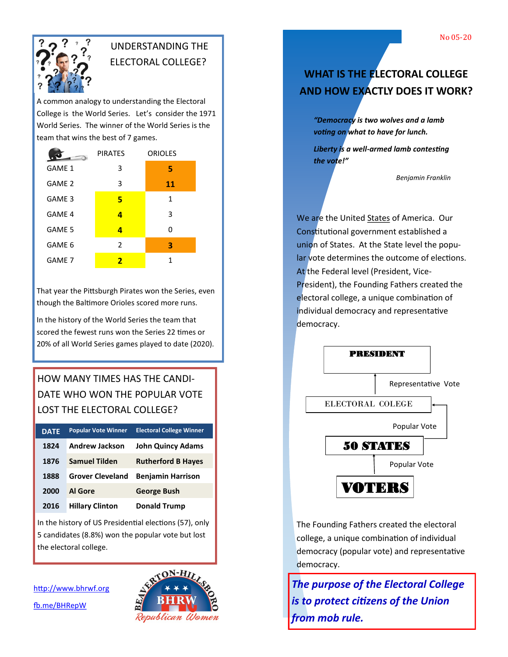

## UNDERSTANDING THE ELECTORAL COLLEGE?

A common analogy to understanding the Electoral College is the World Series. Let's consider the 1971 World Series. The winner of the World Series is the team that wins the best of 7 games.

| <b><i>conservati</i></b> | <b>PIRATES</b> | <b>ORIOLES</b> |
|--------------------------|----------------|----------------|
| GAME 1                   | 3              | 5              |
| GAME 2                   | 3              | 11             |
| GAME <sub>3</sub>        | 5              | 1              |
| GAME 4                   | 4              | 3              |
| GAME 5                   | 4              | ŋ              |
| GAME 6                   | 2              | 3              |
| GAME 7                   | 2              | 1              |

That year the Pittsburgh Pirates won the Series, even though the Baltimore Orioles scored more runs.

In the history of the World Series the team that scored the fewest runs won the Series 22 times or 20% of all World Series games played to date (2020).

## HOW MANY TIMES HAS THE CANDI-DATE WHO WON THE POPULAR VOTE LOST THE ELECTORAL COLLEGE?

| <b>DATE</b> | <b>Popular Vote Winner</b> | <b>Electoral College Winner</b> |
|-------------|----------------------------|---------------------------------|
| 1824        | <b>Andrew Jackson</b>      | <b>John Quincy Adams</b>        |
| 1876        | <b>Samuel Tilden</b>       | <b>Rutherford B Hayes</b>       |
| 1888        | <b>Grover Cleveland</b>    | <b>Benjamin Harrison</b>        |
| 2000        | <b>Al Gore</b>             | <b>George Bush</b>              |
| 2016        | <b>Hillary Clinton</b>     | <b>Donald Trump</b>             |

In the history of US Presidential elections (57), only 5 candidates (8.8%) won the popular vote but lost the electoral college.

<http://www.bhrwf.org> [fb.me/BHRepW](http://fb.me/BHRepW)



# **WHAT IS THE ELECTORAL COLLEGE AND HOW EXACTLY DOES IT WORK?**

*"Democracy is two wolves and a lamb voting on what to have for lunch.* 

*Liberty is a well-armed lamb contesting the vote!"*

*Benjamin Franklin*

We are the United States of America. Our Constitutional government established a union of States. At the State level the popular vote determines the outcome of elections. At the Federal level (President, Vice-President), the Founding Fathers created the electoral college, a unique combination of individual democracy and representative democracy.



The Founding Fathers created the electoral college, a unique combination of individual democracy (popular vote) and representative democracy.

*The purpose of the Electoral College is to protect citizens of the Union from mob rule.*